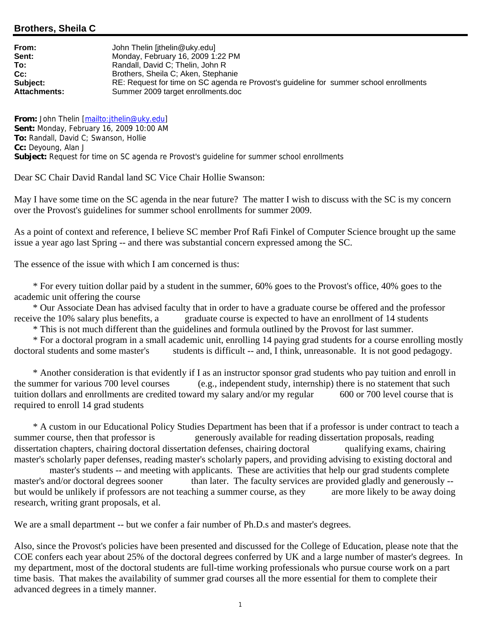## **Brothers, Sheila C**

**From:** John Thelin [jthelin@uky.edu] **Sent:** Monday, February 16, 2009 1:22 PM<br> **To:** Randall, David C: Thelin, John R **To:** Randall, David C; Thelin, John R **Cc:** Brothers, Sheila C; Aken, Stephanie **Subject:** RE: Request for time on SC agenda re Provost's guideline for summer school enrollments **Attachments:** Summer 2009 target enrollments.doc

**From:** John Thelin [mailto:jthelin@uky.edu] **Sent:** Monday, February 16, 2009 10:00 AM **To:** Randall, David C; Swanson, Hollie **Cc:** Deyoung, Alan J **Subject:** Request for time on SC agenda re Provost's guideline for summer school enrollments

Dear SC Chair David Randal land SC Vice Chair Hollie Swanson:

May I have some time on the SC agenda in the near future? The matter I wish to discuss with the SC is my concern over the Provost's guidelines for summer school enrollments for summer 2009.

As a point of context and reference, I believe SC member Prof Rafi Finkel of Computer Science brought up the same issue a year ago last Spring -- and there was substantial concern expressed among the SC.

The essence of the issue with which I am concerned is thus:

 \* For every tuition dollar paid by a student in the summer, 60% goes to the Provost's office, 40% goes to the academic unit offering the course

 \* Our Associate Dean has advised faculty that in order to have a graduate course be offered and the professor receive the 10% salary plus benefits, a graduate course is expected to have an enrollment of 14 students

\* This is not much different than the guidelines and formula outlined by the Provost for last summer.

 \* For a doctoral program in a small academic unit, enrolling 14 paying grad students for a course enrolling mostly doctoral students and some master's students is difficult -- and, I think, unreasonable. It is not good pedagogy.

 \* Another consideration is that evidently if I as an instructor sponsor grad students who pay tuition and enroll in the summer for various 700 level courses (e.g., independent study, internship) there is no statement that such tuition dollars and enrollments are credited toward my salary and/or my regular 600 or 700 level course that is required to enroll 14 grad students

 \* A custom in our Educational Policy Studies Department has been that if a professor is under contract to teach a summer course, then that professor is generously available for reading dissertation proposals, reading dissertation chapters, chairing doctoral dissertation defenses, chairing doctoral qualifying exams, chairing master's scholarly paper defenses, reading master's scholarly papers, and providing advising to existing doctoral and

 master's students -- and meeting with applicants. These are activities that help our grad students complete master's and/or doctoral degrees sooner than later. The faculty services are provided gladly and generously -but would be unlikely if professors are not teaching a summer course, as they are more likely to be away doing research, writing grant proposals, et al.

We are a small department -- but we confer a fair number of Ph.D.s and master's degrees.

Also, since the Provost's policies have been presented and discussed for the College of Education, please note that the COE confers each year about 25% of the doctoral degrees conferred by UK and a large number of master's degrees. In my department, most of the doctoral students are full-time working professionals who pursue course work on a part time basis. That makes the availability of summer grad courses all the more essential for them to complete their advanced degrees in a timely manner.